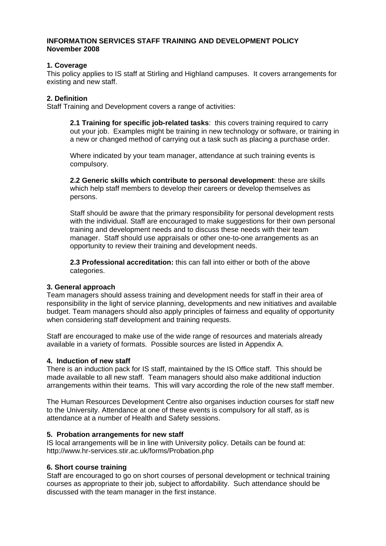### **INFORMATION SERVICES STAFF TRAINING AND DEVELOPMENT POLICY November 2008**

### **1. Coverage**

This policy applies to IS staff at Stirling and Highland campuses. It covers arrangements for existing and new staff.

### **2. Definition**

Staff Training and Development covers a range of activities:

**2.1 Training for specific job-related tasks**: this covers training required to carry out your job. Examples might be training in new technology or software, or training in a new or changed method of carrying out a task such as placing a purchase order.

Where indicated by your team manager, attendance at such training events is compulsory.

**2.2 Generic skills which contribute to personal development**: these are skills which help staff members to develop their careers or develop themselves as persons.

Staff should be aware that the primary responsibility for personal development rests with the individual. Staff are encouraged to make suggestions for their own personal training and development needs and to discuss these needs with their team manager. Staff should use appraisals or other one-to-one arrangements as an opportunity to review their training and development needs.

**2.3 Professional accreditation:** this can fall into either or both of the above categories.

### **3. General approach**

Team managers should assess training and development needs for staff in their area of responsibility in the light of service planning, developments and new initiatives and available budget. Team managers should also apply principles of fairness and equality of opportunity when considering staff development and training requests.

Staff are encouraged to make use of the wide range of resources and materials already available in a variety of formats. Possible sources are listed in Appendix A.

### **4. Induction of new staff**

There is an induction pack for IS staff, maintained by the IS Office staff. This should be made available to all new staff. Team managers should also make additional induction arrangements within their teams. This will vary according the role of the new staff member.

The Human Resources Development Centre also organises induction courses for staff new to the University. Attendance at one of these events is compulsory for all staff, as is attendance at a number of Health and Safety sessions.

# **5. Probation arrangements for new staff**

IS local arrangements will be in line with University policy. Details can be found at: http://www.hr-services.stir.ac.uk/forms/Probation.php

# **6. Short course training**

Staff are encouraged to go on short courses of personal development or technical training courses as appropriate to their job, subject to affordability. Such attendance should be discussed with the team manager in the first instance.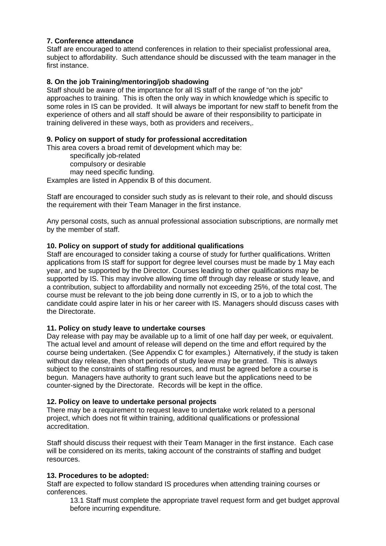# **7. Conference attendance**

Staff are encouraged to attend conferences in relation to their specialist professional area, subject to affordability. Such attendance should be discussed with the team manager in the first instance.

# **8. On the job Training/mentoring/job shadowing**

Staff should be aware of the importance for all IS staff of the range of "on the job" approaches to training. This is often the only way in which knowledge which is specific to some roles in IS can be provided. It will always be important for new staff to benefit from the experience of others and all staff should be aware of their responsibility to participate in training delivered in these ways, both as providers and receivers,.

# **9. Policy on support of study for professional accreditation**

This area covers a broad remit of development which may be:

specifically job-related compulsory or desirable

may need specific funding.

Examples are listed in Appendix B of this document.

Staff are encouraged to consider such study as is relevant to their role, and should discuss the requirement with their Team Manager in the first instance.

Any personal costs, such as annual professional association subscriptions, are normally met by the member of staff.

# **10. Policy on support of study for additional qualifications**

Staff are encouraged to consider taking a course of study for further qualifications. Written applications from IS staff for support for degree level courses must be made by 1 May each year, and be supported by the Director. Courses leading to other qualifications may be supported by IS. This may involve allowing time off through day release or study leave, and a contribution, subject to affordability and normally not exceeding 25%, of the total cost. The course must be relevant to the job being done currently in IS, or to a job to which the candidate could aspire later in his or her career with IS. Managers should discuss cases with the Directorate.

# **11. Policy on study leave to undertake courses**

Day release with pay may be available up to a limit of one half day per week, or equivalent. The actual level and amount of release will depend on the time and effort required by the course being undertaken. (See Appendix C for examples.) Alternatively, if the study is taken without day release, then short periods of study leave may be granted. This is always subject to the constraints of staffing resources, and must be agreed before a course is begun. Managers have authority to grant such leave but the applications need to be counter-signed by the Directorate. Records will be kept in the office.

# **12. Policy on leave to undertake personal projects**

There may be a requirement to request leave to undertake work related to a personal project, which does not fit within training, additional qualifications or professional accreditation.

Staff should discuss their request with their Team Manager in the first instance. Each case will be considered on its merits, taking account of the constraints of staffing and budget resources.

# **13. Procedures to be adopted:**

Staff are expected to follow standard IS procedures when attending training courses or conferences.

13.1 Staff must complete the appropriate travel request form and get budget approval before incurring expenditure.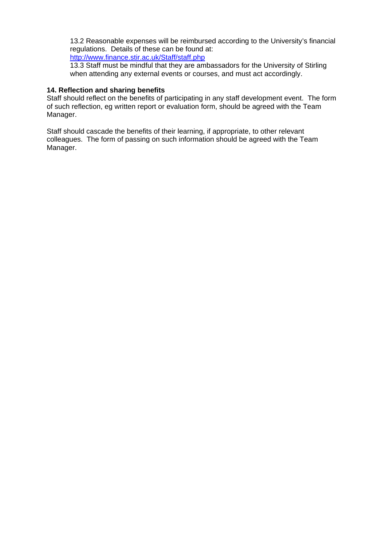13.2 Reasonable expenses will be reimbursed according to the University's financial regulations. Details of these can be found at:

<http://www.finance.stir.ac.uk/Staff/staff.php>

13.3 Staff must be mindful that they are ambassadors for the University of Stirling when attending any external events or courses, and must act accordingly.

### **14. Reflection and sharing benefits**

Staff should reflect on the benefits of participating in any staff development event. The form of such reflection, eg written report or evaluation form, should be agreed with the Team Manager.

Staff should cascade the benefits of their learning, if appropriate, to other relevant colleagues. The form of passing on such information should be agreed with the Team Manager.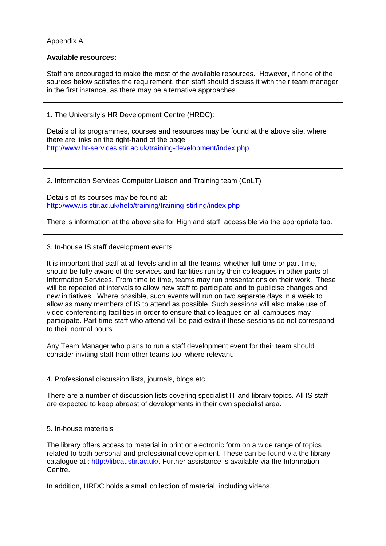# Appendix A

# **Available resources:**

Staff are encouraged to make the most of the available resources. However, if none of the sources below satisfies the requirement, then staff should discuss it with their team manager in the first instance, as there may be alternative approaches.

1. The University's HR Development Centre (HRDC):

Details of its programmes, courses and resources may be found at the above site, where there are links on the right-hand of the page. <http://www.hr-services.stir.ac.uk/training-development/index.php>

2. Information Services Computer Liaison and Training team (CoLT)

Details of its courses may be found at: <http://www.is.stir.ac.uk/help/training/training-stirling/index.php>

There is information at the above site for Highland staff, accessible via the appropriate tab.

3. In-house IS staff development events

It is important that staff at all levels and in all the teams, whether full-time or part-time, should be fully aware of the services and facilities run by their colleagues in other parts of Information Services. From time to time, teams may run presentations on their work. These will be repeated at intervals to allow new staff to participate and to publicise changes and new initiatives. Where possible, such events will run on two separate days in a week to allow as many members of IS to attend as possible. Such sessions will also make use of video conferencing facilities in order to ensure that colleagues on all campuses may participate. Part-time staff who attend will be paid extra if these sessions do not correspond to their normal hours.

Any Team Manager who plans to run a staff development event for their team should consider inviting staff from other teams too, where relevant.

4. Professional discussion lists, journals, blogs etc

There are a number of discussion lists covering specialist IT and library topics. All IS staff are expected to keep abreast of developments in their own specialist area.

5. In-house materials

The library offers access to material in print or electronic form on a wide range of topics related to both personal and professional development. These can be found via the library catalogue at :<http://libcat.stir.ac.uk/>. Further assistance is available via the Information Centre.

In addition, HRDC holds a small collection of material, including videos.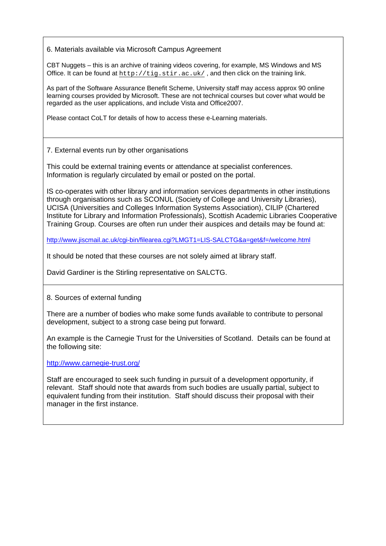6. Materials available via Microsoft Campus Agreement

CBT Nuggets – this is an archive of training videos covering, for example, MS Windows and MS Office. It can be found at  $http://tig.stir.ac.uk/$ , and then click on the training link.

As part of the Software Assurance Benefit Scheme, University staff may access approx 90 online learning courses provided by Microsoft. These are not technical courses but cover what would be regarded as the user applications, and include Vista and Office2007.

Please contact CoLT for details of how to access these e-Learning materials.

7. External events run by other organisations

This could be external training events or attendance at specialist conferences. Information is regularly circulated by email or posted on the portal.

IS co-operates with other library and information services departments in other institutions through organisations such as SCONUL (Society of College and University Libraries), UCISA (Universities and Colleges Information Systems Association), CILIP (Chartered Institute for Library and Information Professionals), Scottish Academic Libraries Cooperative Training Group. Courses are often run under their auspices and details may be found at:

<http://www.jiscmail.ac.uk/cgi-bin/filearea.cgi?LMGT1=LIS-SALCTG&a=get&f=/welcome.html>

It should be noted that these courses are not solely aimed at library staff.

David Gardiner is the Stirling representative on SALCTG.

8. Sources of external funding

There are a number of bodies who make some funds available to contribute to personal development, subject to a strong case being put forward.

An example is the Carnegie Trust for the Universities of Scotland. Details can be found at the following site:

<http://www.carnegie-trust.org/>

Staff are encouraged to seek such funding in pursuit of a development opportunity, if relevant. Staff should note that awards from such bodies are usually partial, subject to equivalent funding from their institution. Staff should discuss their proposal with their manager in the first instance.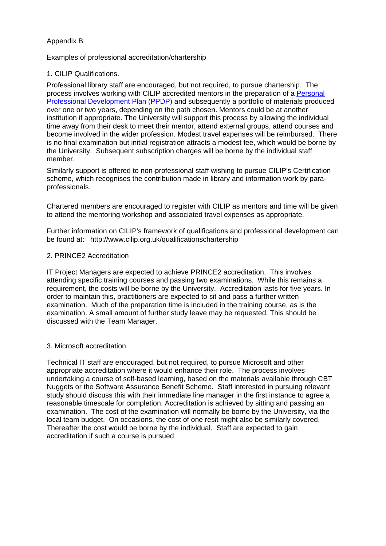# Appendix B

### Examples of professional accreditation/chartership

### 1. CILIP Qualifications.

Professional library staff are encouraged, but not required, to pursue chartership. The process involves working with CILIP accredited mentors in the preparation of a Personal Professional Development Plan (PPDP) and subsequently a portfolio of materials produced over one or two years, depending on the path chosen. Mentors could be at another institution if appropriate. The University will support this process by allowing the individual time away from their desk to meet their mentor, attend external groups, attend courses and become involved in the wider profession. Modest travel expenses will be reimbursed. There is no final examination but initial registration attracts a modest fee, which would be borne by the University. Subsequent subscription charges will be borne by the individual staff member.

Similarly support is offered to non-professional staff wishing to pursue CILIP's Certification scheme, which recognises the contribution made in library and information work by paraprofessionals.

Chartered members are encouraged to register with CILIP as mentors and time will be given to attend the mentoring workshop and associated travel expenses as appropriate.

Further information on CILIP's framework of qualifications and professional development can be found at: http://www.cilip.org.uk/qualificationschartership

### 2. PRINCE2 Accreditation

IT Project Managers are expected to achieve PRINCE2 accreditation. This involves attending specific training courses and passing two examinations. While this remains a requirement, the costs will be borne by the University. Accreditation lasts for five years. In order to maintain this, practitioners are expected to sit and pass a further written examination. Much of the preparation time is included in the training course, as is the examination. A small amount of further study leave may be requested. This should be discussed with the Team Manager.

### 3. Microsoft accreditation

Technical IT staff are encouraged, but not required, to pursue Microsoft and other appropriate accreditation where it would enhance their role. The process involves undertaking a course of self-based learning, based on the materials available through CBT Nuggets or the Software Assurance Benefit Scheme. Staff interested in pursuing relevant study should discuss this with their immediate line manager in the first instance to agree a reasonable timescale for completion. Accreditation is achieved by sitting and passing an examination. The cost of the examination will normally be borne by the University, via the local team budget. On occasions, the cost of one resit might also be similarly covered. Thereafter the cost would be borne by the individual. Staff are expected to gain accreditation if such a course is pursued